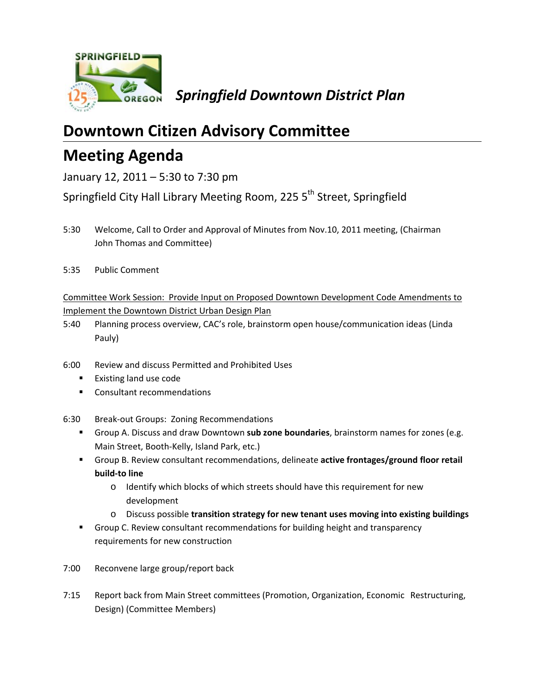

# **Downtown Citizen Advisory Committee**

## **Meeting Agenda**

January 12, 2011 – 5:30 to 7:30 pm

Springfield City Hall Library Meeting Room, 225 5<sup>th</sup> Street, Springfield

- 5:30 Welcome, Call to Order and Approval of Minutes from Nov.10, 2011 meeting, (Chairman John Thomas and Committee)
- 5:35 Public Comment

## Committee Work Session: Provide Input on Proposed Downtown Development Code Amendments to Implement the Downtown District Urban Design Plan

- 5:40 Planning process overview, CAC's role, brainstorm open house/communication ideas (Linda Pauly)
- 6:00 Review and discuss Permitted and Prohibited Uses
	- **Existing land use code**
	- **EXECONSERGITED EXECONS**
- 6:30 Break‐out Groups: Zoning Recommendations
	- Group A. Discuss and draw Downtown **sub zone boundaries**, brainstorm names for zones (e.g. Main Street, Booth‐Kelly, Island Park, etc.)
	- Group B. Review consultant recommendations, delineate **active frontages/ground floor retail build‐to line**
		- o Identify which blocks of which streets should have this requirement for new development
		- o Discuss possible **transition strategy for new tenant uses moving into existing buildings**
	- Group C. Review consultant recommendations for building height and transparency requirements for new construction
- 7:00 Reconvene large group/report back
- 7:15 Report back from Main Street committees (Promotion, Organization, Economic Restructuring, Design) (Committee Members)